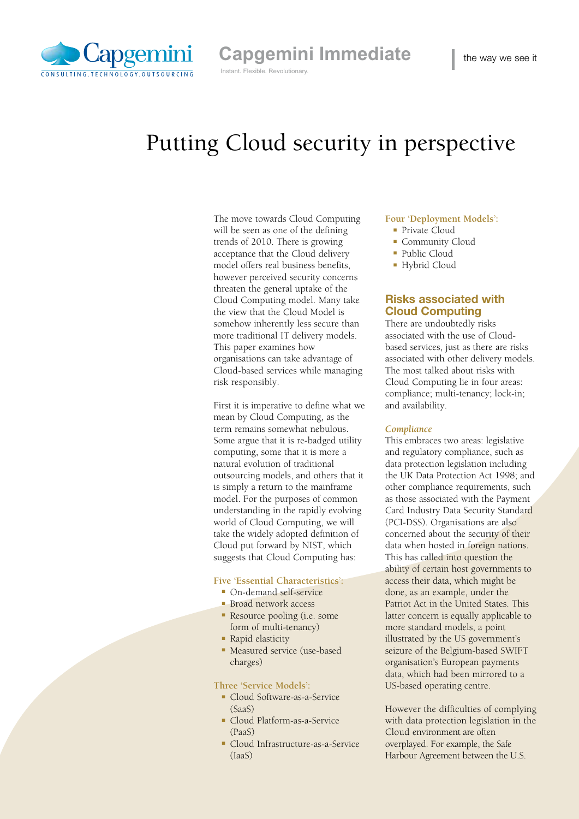

**Capgemini Immediate** Instant. Flexible. Revolutionary.

# Putting Cloud security in perspective

The move towards Cloud Computing will be seen as one of the defining trends of 2010. There is growing acceptance that the Cloud delivery model offers real business benefits, however perceived security concerns threaten the general uptake of the Cloud Computing model. Many take the view that the Cloud Model is somehow inherently less secure than more traditional IT delivery models. This paper examines how organisations can take advantage of Cloud-based services while managing risk responsibly.

First it is imperative to define what we mean by Cloud Computing, as the term remains somewhat nebulous. Some argue that it is re-badged utility computing, some that it is more a natural evolution of traditional outsourcing models, and others that it is simply a return to the mainframe model. For the purposes of common understanding in the rapidly evolving world of Cloud Computing, we will take the widely adopted definition of Cloud put forward by NIST, which suggests that Cloud Computing has:

#### **Five 'Essential Characteristics':**

- $\Box$  On-demand self-service
- **Broad network access**
- $\blacksquare$  Resource pooling (i.e. some form of multi-tenancy)
- Rapid elasticity
- Measured service (use-based charges)

### **Three 'Service Models':**

- Cloud Software-as-a-Service (SaaS)
- Cloud Platform-as-a-Service (PaaS)
- Cloud Infrastructure-as-a-Service (IaaS)

#### **Four 'Deployment Models':**

- Private Cloud
- Community Cloud
- Public Cloud
- Hybrid Cloud

## Risks associated with Cloud Computing

There are undoubtedly risks associated with the use of Cloudbased services, just as there are risks associated with other delivery models. The most talked about risks with Cloud Computing lie in four areas: compliance; multi-tenancy; lock-in; and availability.

#### *Compliance*

This embraces two areas: legislative and regulatory compliance, such as data protection legislation including the UK Data Protection Act 1998; and other compliance requirements, such as those associated with the Payment Card Industry Data Security Standard (PCI-DSS). Organisations are also concerned about the security of their data when hosted in foreign nations. This has called into question the ability of certain host governments to access their data, which might be done, as an example, under the Patriot Act in the United States. This latter concern is equally applicable to more standard models, a point illustrated by the US government's seizure of the Belgium-based SWIFT organisation's European payments data, which had been mirrored to a US-based operating centre.

However the difficulties of complying with data protection legislation in the Cloud environment are often overplayed. For example, the Safe Harbour Agreement between the U.S.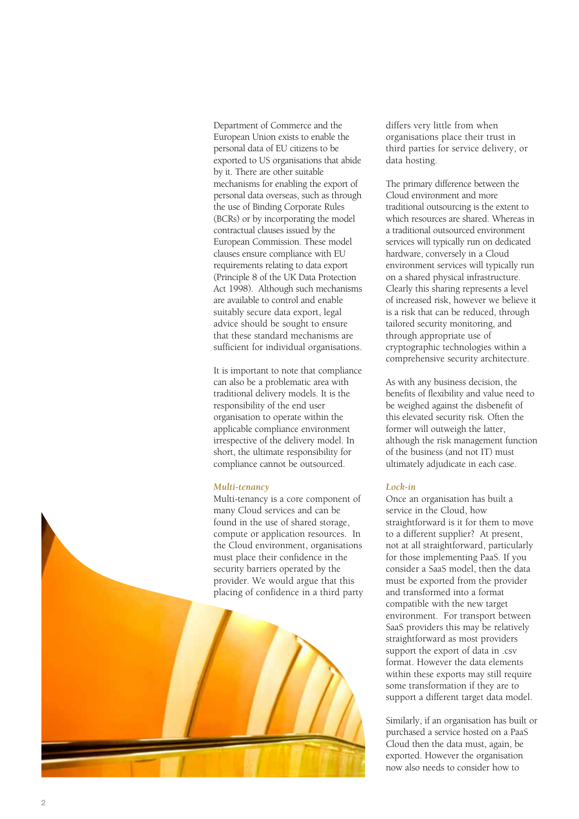Department of Commerce and the European Union exists to enable the personal data of EU citizens to be exported to US organisations that abide by it. There are other suitable mechanisms for enabling the export of personal data overseas, such as through the use of Binding Corporate Rules (BCRs) or by incorporating the model contractual clauses issued by the European Commission. These model clauses ensure compliance with EU requirements relating to data export (Principle 8 of the UK Data Protection Act 1998). Although such mechanisms are available to control and enable suitably secure data export, legal advice should be sought to ensure that these standard mechanisms are sufficient for individual organisations.

It is important to note that compliance can also be a problematic area with traditional delivery models. It is the responsibility of the end user organisation to operate within the applicable compliance environment irrespective of the delivery model. In short, the ultimate responsibility for compliance cannot be outsourced.

#### *Multi-tenancy*

Multi-tenancy is a core component of many Cloud services and can be found in the use of shared storage, compute or application resources. In the Cloud environment, organisations must place their confidence in the security barriers operated by the provider. We would argue that this placing of confidence in a third party



differs very little from when organisations place their trust in third parties for service delivery, or data hosting.

The primary difference between the Cloud environment and more traditional outsourcing is the extent to which resources are shared. Whereas in a traditional outsourced environment services will typically run on dedicated hardware, conversely in a Cloud environment services will typically run on a shared physical infrastructure. Clearly this sharing represents a level of increased risk, however we believe it is a risk that can be reduced, through tailored security monitoring, and through appropriate use of cryptographic technologies within a comprehensive security architecture.

As with any business decision, the benefits of flexibility and value need to be weighed against the disbenefit of this elevated security risk. Often the former will outweigh the latter, although the risk management function of the business (and not IT) must ultimately adjudicate in each case.

### *Lock-in*

Once an organisation has built a service in the Cloud, how straightforward is it for them to move to a different supplier? At present, not at all straightforward, particularly for those implementing PaaS. If you consider a SaaS model, then the data must be exported from the provider and transformed into a format compatible with the new target environment. For transport between SaaS providers this may be relatively straightforward as most providers support the export of data in .csv format. However the data elements within these exports may still require some transformation if they are to support a different target data model.

Similarly, if an organisation has built or purchased a service hosted on a PaaS Cloud then the data must, again, be exported. However the organisation now also needs to consider how to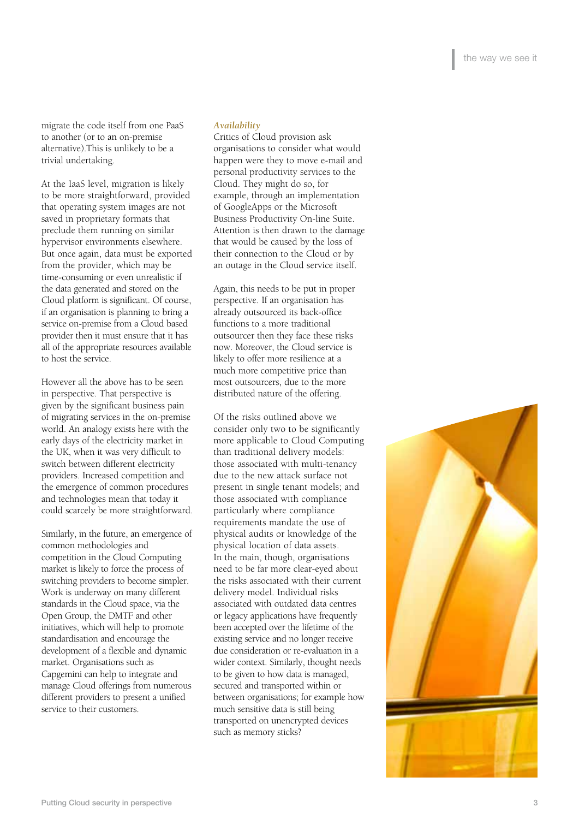migrate the code itself from one PaaS to another (or to an on-premise alternative).This is unlikely to be a trivial undertaking.

At the IaaS level, migration is likely to be more straightforward, provided that operating system images are not saved in proprietary formats that preclude them running on similar hypervisor environments elsewhere. But once again, data must be exported from the provider, which may be time-consuming or even unrealistic if the data generated and stored on the Cloud platform is significant. Of course, if an organisation is planning to bring a service on-premise from a Cloud based provider then it must ensure that it has all of the appropriate resources available to host the service.

However all the above has to be seen in perspective. That perspective is given by the significant business pain of migrating services in the on-premise world. An analogy exists here with the early days of the electricity market in the UK, when it was very difficult to switch between different electricity providers. Increased competition and the emergence of common procedures and technologies mean that today it could scarcely be more straightforward.

Similarly, in the future, an emergence of common methodologies and competition in the Cloud Computing market is likely to force the process of switching providers to become simpler. Work is underway on many different standards in the Cloud space, via the Open Group, the DMTF and other initiatives, which will help to promote standardisation and encourage the development of a flexible and dynamic market. Organisations such as Capgemini can help to integrate and manage Cloud offerings from numerous different providers to present a unified service to their customers.

#### *Availability*

Critics of Cloud provision ask organisations to consider what would happen were they to move e-mail and personal productivity services to the Cloud. They might do so, for example, through an implementation of GoogleApps or the Microsoft Business Productivity On-line Suite. Attention is then drawn to the damage that would be caused by the loss of their connection to the Cloud or by an outage in the Cloud service itself.

Again, this needs to be put in proper perspective. If an organisation has already outsourced its back-office functions to a more traditional outsourcer then they face these risks now. Moreover, the Cloud service is likely to offer more resilience at a much more competitive price than most outsourcers, due to the more distributed nature of the offering.

Of the risks outlined above we consider only two to be significantly more applicable to Cloud Computing than traditional delivery models: those associated with multi-tenancy due to the new attack surface not present in single tenant models; and those associated with compliance particularly where compliance requirements mandate the use of physical audits or knowledge of the physical location of data assets. In the main, though, organisations need to be far more clear-eyed about the risks associated with their current delivery model. Individual risks associated with outdated data centres or legacy applications have frequently been accepted over the lifetime of the existing service and no longer receive due consideration or re-evaluation in a wider context. Similarly, thought needs to be given to how data is managed, secured and transported within or between organisations; for example how much sensitive data is still being transported on unencrypted devices such as memory sticks?

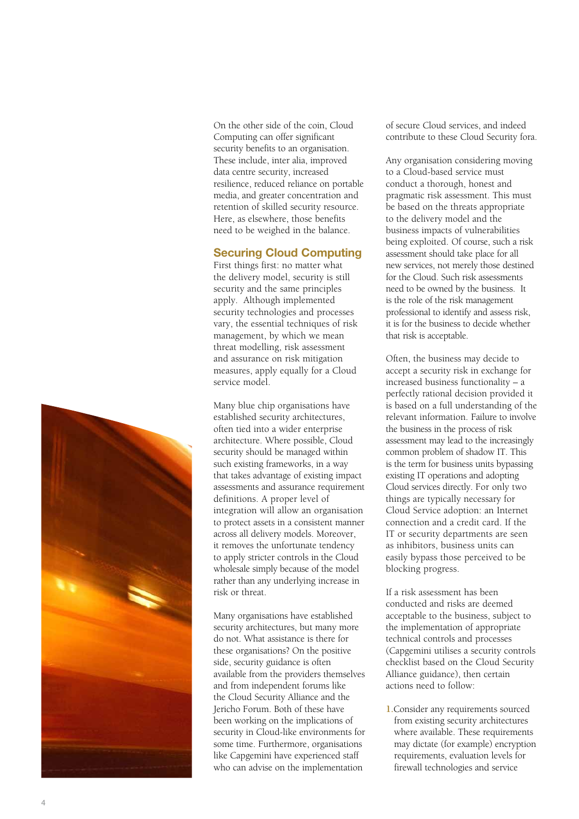On the other side of the coin, Cloud Computing can offer significant security benefits to an organisation. These include, inter alia, improved data centre security, increased resilience, reduced reliance on portable media, and greater concentration and retention of skilled security resource. Here, as elsewhere, those benefits need to be weighed in the balance.

## Securing Cloud Computing

First things first: no matter what the delivery model, security is still security and the same principles apply. Although implemented security technologies and processes vary, the essential techniques of risk management, by which we mean threat modelling, risk assessment and assurance on risk mitigation measures, apply equally for a Cloud service model.

Many blue chip organisations have established security architectures, often tied into a wider enterprise architecture. Where possible, Cloud security should be managed within such existing frameworks, in a way that takes advantage of existing impact assessments and assurance requirement definitions. A proper level of integration will allow an organisation to protect assets in a consistent manner across all delivery models. Moreover, it removes the unfortunate tendency to apply stricter controls in the Cloud wholesale simply because of the model rather than any underlying increase in risk or threat.

Many organisations have established security architectures, but many more do not. What assistance is there for these organisations? On the positive side, security guidance is often available from the providers themselves and from independent forums like the Cloud Security Alliance and the Jericho Forum. Both of these have been working on the implications of security in Cloud-like environments for some time. Furthermore, organisations like Capgemini have experienced staff who can advise on the implementation

of secure Cloud services, and indeed contribute to these Cloud Security fora.

Any organisation considering moving to a Cloud-based service must conduct a thorough, honest and pragmatic risk assessment. This must be based on the threats appropriate to the delivery model and the business impacts of vulnerabilities being exploited. Of course, such a risk assessment should take place for all new services, not merely those destined for the Cloud. Such risk assessments need to be owned by the business. It is the role of the risk management professional to identify and assess risk, it is for the business to decide whether that risk is acceptable.

Often, the business may decide to accept a security risk in exchange for increased business functionality – a perfectly rational decision provided it is based on a full understanding of the relevant information. Failure to involve the business in the process of risk assessment may lead to the increasingly common problem of shadow IT. This is the term for business units bypassing existing IT operations and adopting Cloud services directly. For only two things are typically necessary for Cloud Service adoption: an Internet connection and a credit card. If the IT or security departments are seen as inhibitors, business units can easily bypass those perceived to be blocking progress.

If a risk assessment has been conducted and risks are deemed acceptable to the business, subject to the implementation of appropriate technical controls and processes (Capgemini utilises a security controls checklist based on the Cloud Security Alliance guidance), then certain actions need to follow:

**1.**Consider any requirements sourced from existing security architectures where available. These requirements may dictate (for example) encryption requirements, evaluation levels for firewall technologies and service

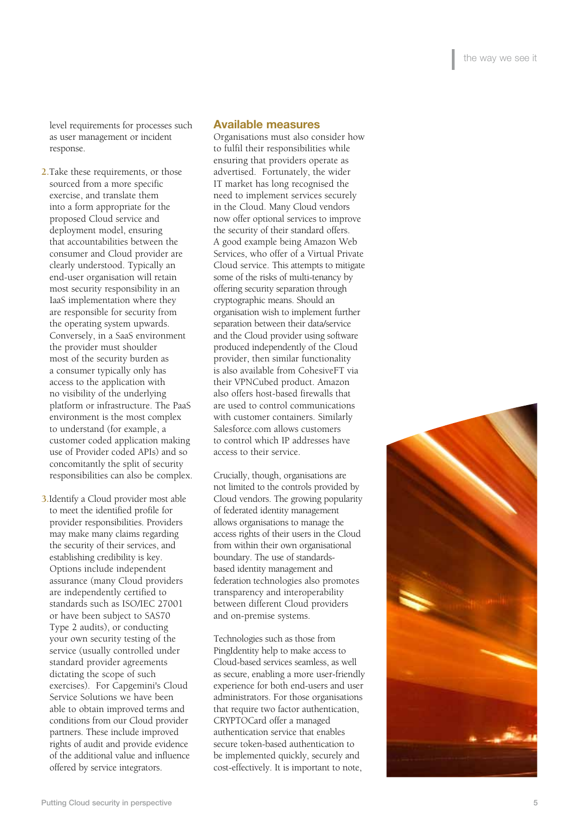level requirements for processes such as user management or incident response.

- **2.**Take these requirements, or those sourced from a more specific exercise, and translate them into a form appropriate for the proposed Cloud service and deployment model, ensuring that accountabilities between the consumer and Cloud provider are clearly understood. Typically an end-user organisation will retain most security responsibility in an IaaS implementation where they are responsible for security from the operating system upwards. Conversely, in a SaaS environment the provider must shoulder most of the security burden as a consumer typically only has access to the application with no visibility of the underlying platform or infrastructure. The PaaS environment is the most complex to understand (for example, a customer coded application making use of Provider coded APIs) and so concomitantly the split of security responsibilities can also be complex.
- **3.**Identify a Cloud provider most able to meet the identified profile for provider responsibilities. Providers may make many claims regarding the security of their services, and establishing credibility is key. Options include independent assurance (many Cloud providers are independently certified to standards such as ISO/IEC 27001 or have been subject to SAS70 Type 2 audits), or conducting your own security testing of the service (usually controlled under standard provider agreements dictating the scope of such exercises). For Capgemini's Cloud Service Solutions we have been able to obtain improved terms and conditions from our Cloud provider partners. These include improved rights of audit and provide evidence of the additional value and influence offered by service integrators.

# Available measures

Organisations must also consider how to fulfil their responsibilities while ensuring that providers operate as advertised. Fortunately, the wider IT market has long recognised the need to implement services securely in the Cloud. Many Cloud vendors now offer optional services to improve the security of their standard offers. A good example being Amazon Web Services, who offer of a Virtual Private Cloud service. This attempts to mitigate some of the risks of multi-tenancy by offering security separation through cryptographic means. Should an organisation wish to implement further separation between their data/service and the Cloud provider using software produced independently of the Cloud provider, then similar functionality is also available from CohesiveFT via their VPNCubed product. Amazon also offers host-based firewalls that are used to control communications with customer containers. Similarly Salesforce.com allows customers to control which IP addresses have access to their service.

Crucially, though, organisations are not limited to the controls provided by Cloud vendors. The growing popularity of federated identity management allows organisations to manage the access rights of their users in the Cloud from within their own organisational boundary. The use of standardsbased identity management and federation technologies also promotes transparency and interoperability between different Cloud providers and on-premise systems.

Technologies such as those from PingIdentity help to make access to Cloud-based services seamless, as well as secure, enabling a more user-friendly experience for both end-users and user administrators. For those organisations that require two factor authentication, CRYPTOCard offer a managed authentication service that enables secure token-based authentication to be implemented quickly, securely and cost-effectively. It is important to note,

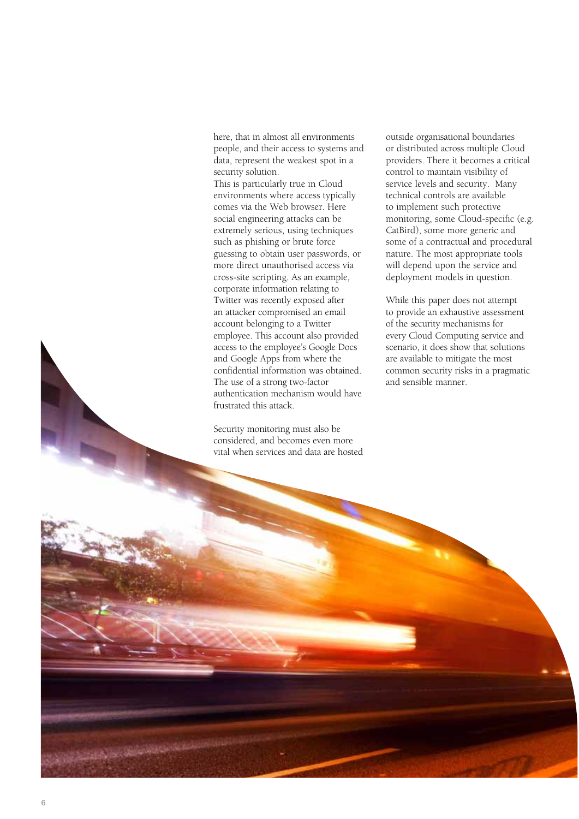here, that in almost all environments people, and their access to systems and data, represent the weakest spot in a security solution.

This is particularly true in Cloud environments where access typically comes via the Web browser. Here social engineering attacks can be extremely serious, using techniques such as phishing or brute force guessing to obtain user passwords, or more direct unauthorised access via cross-site scripting. As an example, corporate information relating to Twitter was recently exposed after an attacker compromised an email account belonging to a Twitter employee. This account also provided access to the employee's Google Docs and Google Apps from where the confidential information was obtained. The use of a strong two-factor authentication mechanism would have frustrated this attack.

Security monitoring must also be considered, and becomes even more vital when services and data are hosted outside organisational boundaries or distributed across multiple Cloud providers. There it becomes a critical control to maintain visibility of service levels and security. Many technical controls are available to implement such protective monitoring, some Cloud-specific (e.g. CatBird), some more generic and some of a contractual and procedural nature. The most appropriate tools will depend upon the service and deployment models in question.

While this paper does not attempt to provide an exhaustive assessment of the security mechanisms for every Cloud Computing service and scenario, it does show that solutions are available to mitigate the most common security risks in a pragmatic and sensible manner.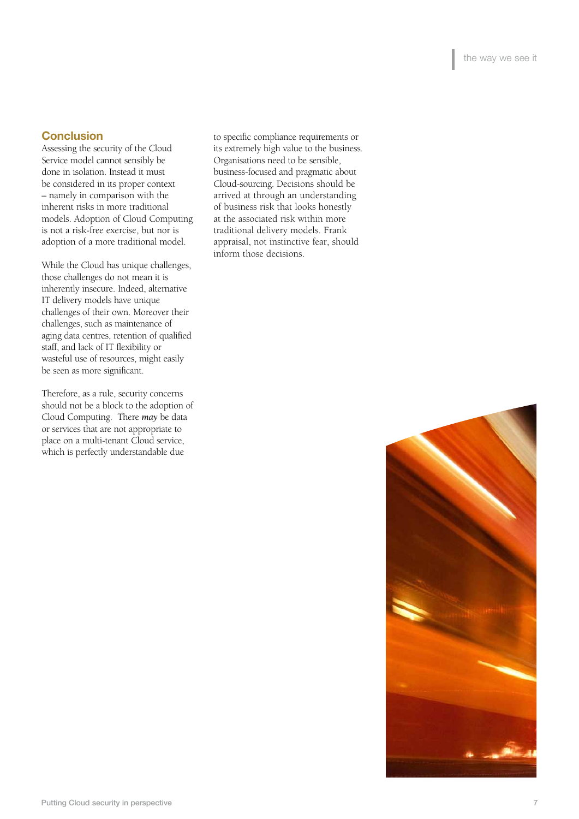## **Conclusion**

Assessing the security of the Cloud Service model cannot sensibly be done in isolation. Instead it must be considered in its proper context – namely in comparison with the inherent risks in more traditional models. Adoption of Cloud Computing is not a risk-free exercise, but nor is adoption of a more traditional model.

While the Cloud has unique challenges, those challenges do not mean it is inherently insecure. Indeed, alternative IT delivery models have unique challenges of their own. Moreover their challenges, such as maintenance of aging data centres, retention of qualified staff, and lack of IT flexibility or wasteful use of resources, might easily be seen as more significant.

Therefore, as a rule, security concerns should not be a block to the adoption of Cloud Computing. There *may* be data or services that are not appropriate to place on a multi-tenant Cloud service, which is perfectly understandable due

to specific compliance requirements or its extremely high value to the business. Organisations need to be sensible, business-focused and pragmatic about Cloud-sourcing. Decisions should be arrived at through an understanding of business risk that looks honestly at the associated risk within more traditional delivery models. Frank appraisal, not instinctive fear, should inform those decisions.